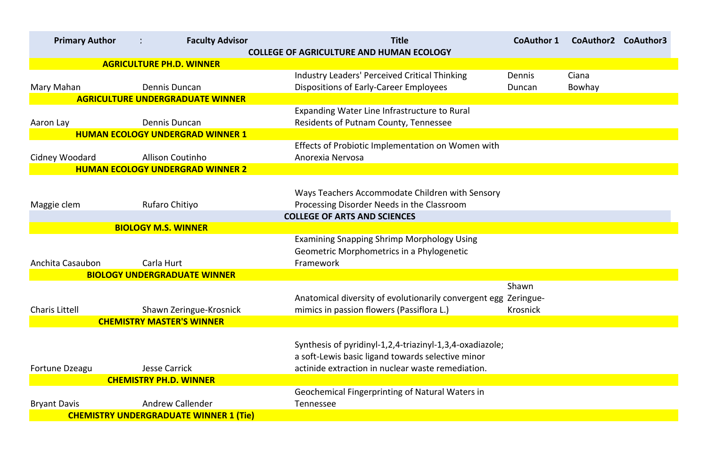| <b>Primary Author</b> | <b>Faculty Advisor</b>                                | <b>Title</b><br><b>COLLEGE OF AGRICULTURE AND HUMAN ECOLOGY</b>                                                                      | <b>CoAuthor 1</b>        | CoAuthor2              | <b>CoAuthor3</b> |
|-----------------------|-------------------------------------------------------|--------------------------------------------------------------------------------------------------------------------------------------|--------------------------|------------------------|------------------|
|                       | <b>AGRICULTURE PH.D. WINNER</b>                       |                                                                                                                                      |                          |                        |                  |
| Mary Mahan            | Dennis Duncan                                         | <b>Industry Leaders' Perceived Critical Thinking</b><br><b>Dispositions of Early-Career Employees</b>                                | Dennis<br>Duncan         | Ciana<br><b>Bowhay</b> |                  |
|                       | <b>AGRICULTURE UNDERGRADUATE WINNER</b>               |                                                                                                                                      |                          |                        |                  |
| Aaron Lay             | Dennis Duncan                                         | Expanding Water Line Infrastructure to Rural<br><b>Residents of Putnam County, Tennessee</b>                                         |                          |                        |                  |
|                       | <b>HUMAN ECOLOGY UNDERGRAD WINNER 1</b>               |                                                                                                                                      |                          |                        |                  |
| Cidney Woodard        | <b>Allison Coutinho</b>                               | Effects of Probiotic Implementation on Women with<br>Anorexia Nervosa                                                                |                          |                        |                  |
|                       | <b>HUMAN ECOLOGY UNDERGRAD WINNER 2</b>               |                                                                                                                                      |                          |                        |                  |
| Maggie clem           | <b>Rufaro Chitiyo</b>                                 | Ways Teachers Accommodate Children with Sensory<br>Processing Disorder Needs in the Classroom<br><b>COLLEGE OF ARTS AND SCIENCES</b> |                          |                        |                  |
|                       | <b>BIOLOGY M.S. WINNER</b>                            |                                                                                                                                      |                          |                        |                  |
| Anchita Casaubon      | Carla Hurt                                            | <b>Examining Snapping Shrimp Morphology Using</b><br>Geometric Morphometrics in a Phylogenetic<br>Framework                          |                          |                        |                  |
|                       | <b>BIOLOGY UNDERGRADUATE WINNER</b>                   |                                                                                                                                      |                          |                        |                  |
| <b>Charis Littell</b> | Shawn Zeringue-Krosnick                               | Anatomical diversity of evolutionarily convergent egg Zeringue-<br>mimics in passion flowers (Passiflora L.)                         | Shawn<br><b>Krosnick</b> |                        |                  |
|                       | <b>CHEMISTRY MASTER'S WINNER</b>                      |                                                                                                                                      |                          |                        |                  |
|                       |                                                       | Synthesis of pyridinyl-1,2,4-triazinyl-1,3,4-oxadiazole;<br>a soft-Lewis basic ligand towards selective minor                        |                          |                        |                  |
| Fortune Dzeagu        | <b>Jesse Carrick</b><br><b>CHEMISTRY PH.D. WINNER</b> | actinide extraction in nuclear waste remediation.                                                                                    |                          |                        |                  |
|                       |                                                       | <b>Geochemical Fingerprinting of Natural Waters in</b>                                                                               |                          |                        |                  |
| <b>Bryant Davis</b>   | <b>Andrew Callender</b>                               | <b>Tennessee</b>                                                                                                                     |                          |                        |                  |
|                       | <b>CHEMISTRY UNDERGRADUATE WINNER 1 (Tie)</b>         |                                                                                                                                      |                          |                        |                  |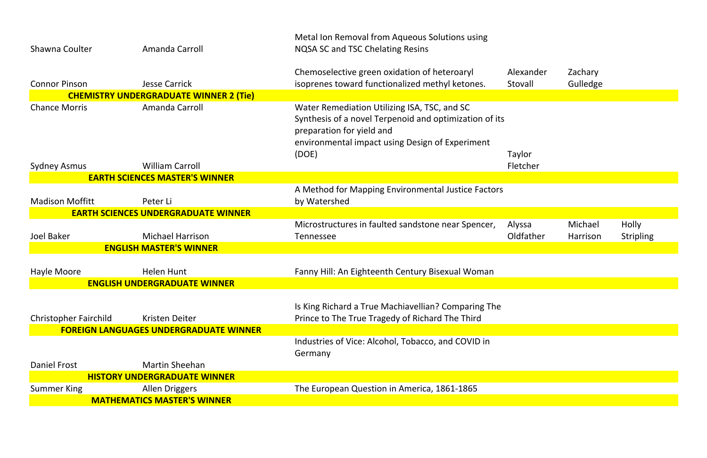| Alexander<br>Stovall | Zachary<br>Gulledge |           |
|----------------------|---------------------|-----------|
|                      |                     |           |
|                      |                     |           |
|                      |                     |           |
|                      |                     |           |
| Taylor               |                     |           |
| Fletcher             |                     |           |
|                      |                     |           |
|                      |                     |           |
|                      |                     |           |
|                      |                     |           |
| Alyssa               | Michael             | Holly     |
| Oldfather            | Harrison            | Stripling |
|                      |                     |           |
|                      |                     |           |
|                      |                     |           |
|                      |                     |           |
|                      |                     |           |
|                      |                     |           |
|                      |                     |           |
|                      |                     |           |
|                      |                     |           |
|                      |                     |           |
|                      |                     |           |
|                      |                     |           |
|                      |                     |           |

|                              |                                               | Metal Ion Removal from Aqueous Solutions using                                                                                                                                         |        |
|------------------------------|-----------------------------------------------|----------------------------------------------------------------------------------------------------------------------------------------------------------------------------------------|--------|
| Shawna Coulter               | Amanda Carroll                                | <b>NQSA SC and TSC Chelating Resins</b>                                                                                                                                                |        |
|                              |                                               |                                                                                                                                                                                        |        |
|                              |                                               | Chemoselective green oxidation of heteroaryl                                                                                                                                           | Alexar |
| <b>Connor Pinson</b>         | <b>Jesse Carrick</b>                          | isoprenes toward functionalized methyl ketones.                                                                                                                                        | Stoval |
|                              | <b>CHEMISTRY UNDERGRADUATE WINNER 2 (Tie)</b> |                                                                                                                                                                                        |        |
| <b>Chance Morris</b>         | Amanda Carroll                                | Water Remediation Utilizing ISA, TSC, and SC<br>Synthesis of a novel Terpenoid and optimization of its<br>preparation for yield and<br>environmental impact using Design of Experiment |        |
|                              |                                               | (DOE)                                                                                                                                                                                  | Taylor |
| <b>Sydney Asmus</b>          | <b>William Carroll</b>                        |                                                                                                                                                                                        | Fletch |
|                              | <b>EARTH SCIENCES MASTER'S WINNER</b>         |                                                                                                                                                                                        |        |
|                              |                                               | A Method for Mapping Environmental Justice Factors                                                                                                                                     |        |
| <b>Madison Moffitt</b>       | Peter Li                                      | by Watershed                                                                                                                                                                           |        |
|                              | <b>EARTH SCIENCES UNDERGRADUATE WINNER</b>    |                                                                                                                                                                                        |        |
|                              |                                               | Microstructures in faulted sandstone near Spencer,                                                                                                                                     | Alyssa |
| <b>Joel Baker</b>            | <b>Michael Harrison</b>                       | <b>Tennessee</b>                                                                                                                                                                       | Oldfat |
|                              | <b>ENGLISH MASTER'S WINNER</b>                |                                                                                                                                                                                        |        |
|                              |                                               |                                                                                                                                                                                        |        |
| Hayle Moore                  | Helen Hunt                                    | Fanny Hill: An Eighteenth Century Bisexual Woman                                                                                                                                       |        |
|                              | <b>ENGLISH UNDERGRADUATE WINNER</b>           |                                                                                                                                                                                        |        |
|                              |                                               |                                                                                                                                                                                        |        |
|                              |                                               | Is King Richard a True Machiavellian? Comparing The                                                                                                                                    |        |
| <b>Christopher Fairchild</b> | Kristen Deiter                                | Prince to The True Tragedy of Richard The Third                                                                                                                                        |        |
|                              | <b>FOREIGN LANGUAGES UNDERGRADUATE WINNER</b> |                                                                                                                                                                                        |        |
|                              |                                               | Industries of Vice: Alcohol, Tobacco, and COVID in<br>Germany                                                                                                                          |        |
| Daniel Frost                 | <b>Martin Sheehan</b>                         |                                                                                                                                                                                        |        |
|                              | <b>HISTORY UNDERGRADUATE WINNER</b>           |                                                                                                                                                                                        |        |
| <b>Summer King</b>           | <b>Allen Driggers</b>                         | The European Question in America, 1861-1865                                                                                                                                            |        |
|                              | <b>MATHEMATICS MASTER'S WINNER</b>            |                                                                                                                                                                                        |        |
|                              |                                               |                                                                                                                                                                                        |        |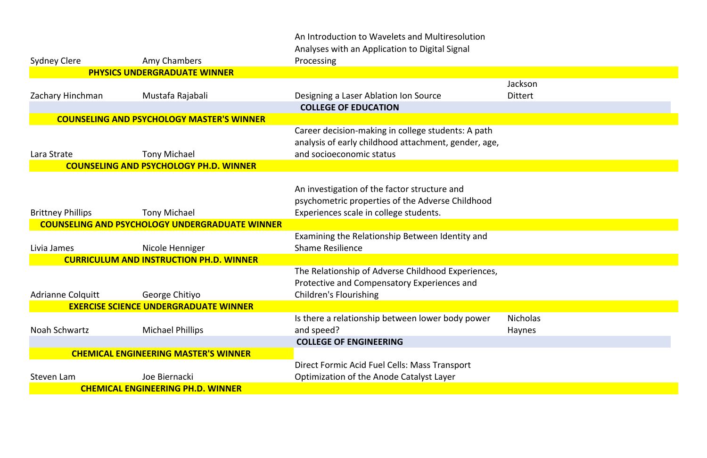|                          |                                                       | An Introduction to Wavelets and Multiresolution      |                 |
|--------------------------|-------------------------------------------------------|------------------------------------------------------|-----------------|
|                          |                                                       | Analyses with an Application to Digital Signal       |                 |
| <b>Sydney Clere</b>      | Amy Chambers                                          | Processing                                           |                 |
|                          | <b>PHYSICS UNDERGRADUATE WINNER</b>                   |                                                      |                 |
|                          |                                                       |                                                      | Jackson         |
| Zachary Hinchman         | Mustafa Rajabali                                      | Designing a Laser Ablation Ion Source                | <b>Dittert</b>  |
|                          |                                                       | <b>COLLEGE OF EDUCATION</b>                          |                 |
|                          | <b>COUNSELING AND PSYCHOLOGY MASTER'S WINNER</b>      |                                                      |                 |
|                          |                                                       | Career decision-making in college students: A path   |                 |
|                          |                                                       | analysis of early childhood attachment, gender, age, |                 |
| Lara Strate              | <b>Tony Michael</b>                                   | and socioeconomic status                             |                 |
|                          | <b>COUNSELING AND PSYCHOLOGY PH.D. WINNER</b>         |                                                      |                 |
|                          |                                                       |                                                      |                 |
|                          |                                                       | An investigation of the factor structure and         |                 |
|                          |                                                       | psychometric properties of the Adverse Childhood     |                 |
| <b>Brittney Phillips</b> | <b>Tony Michael</b>                                   | Experiences scale in college students.               |                 |
|                          | <b>COUNSELING AND PSYCHOLOGY UNDERGRADUATE WINNER</b> |                                                      |                 |
|                          |                                                       | Examining the Relationship Between Identity and      |                 |
| Livia James              | Nicole Henniger                                       | <b>Shame Resilience</b>                              |                 |
|                          | <b>CURRICULUM AND INSTRUCTION PH.D. WINNER</b>        |                                                      |                 |
|                          |                                                       | The Relationship of Adverse Childhood Experiences,   |                 |
|                          |                                                       | Protective and Compensatory Experiences and          |                 |
| <b>Adrianne Colquitt</b> | George Chitiyo                                        | <b>Children's Flourishing</b>                        |                 |
|                          | <b>EXERCISE SCIENCE UNDERGRADUATE WINNER</b>          |                                                      |                 |
|                          |                                                       | Is there a relationship between lower body power     | <b>Nicholas</b> |
| Noah Schwartz            | <b>Michael Phillips</b>                               | and speed?                                           | Haynes          |
|                          |                                                       | <b>COLLEGE OF ENGINEERING</b>                        |                 |
|                          | <b>CHEMICAL ENGINEERING MASTER'S WINNER</b>           |                                                      |                 |
|                          |                                                       | Direct Formic Acid Fuel Cells: Mass Transport        |                 |
| Steven Lam               | Joe Biernacki                                         | Optimization of the Anode Catalyst Layer             |                 |
|                          | <b>CHEMICAL ENGINEERING PH.D. WINNER</b>              |                                                      |                 |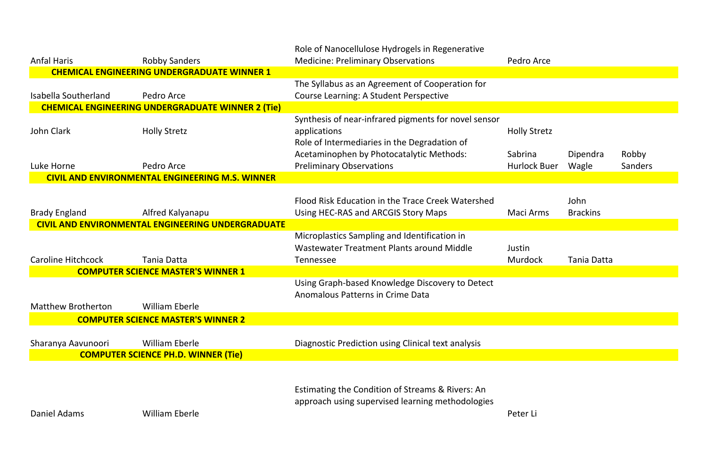| Sabrina<br>Hurlock Buer | Dipendra<br>Wagle       | Robby<br><b>Sanders</b> |
|-------------------------|-------------------------|-------------------------|
|                         |                         |                         |
| Maci Arms               | John<br><b>Brackins</b> |                         |
| Justin<br>Murdock       | <b>Tania Datta</b>      |                         |
|                         |                         |                         |

|                           |                                                          | Role of Nanocellulose Hydrogels in Regenerative      |                     |
|---------------------------|----------------------------------------------------------|------------------------------------------------------|---------------------|
| <b>Anfal Haris</b>        | <b>Robby Sanders</b>                                     | <b>Medicine: Preliminary Observations</b>            | Pedro Arce          |
|                           | <b>CHEMICAL ENGINEERING UNDERGRADUATE WINNER 1</b>       |                                                      |                     |
|                           |                                                          | The Syllabus as an Agreement of Cooperation for      |                     |
| Isabella Southerland      | Pedro Arce                                               | Course Learning: A Student Perspective               |                     |
|                           | <b>CHEMICAL ENGINEERING UNDERGRADUATE WINNER 2 (Tie)</b> |                                                      |                     |
|                           |                                                          | Synthesis of near-infrared pigments for novel sensor |                     |
| John Clark                | <b>Holly Stretz</b>                                      | applications                                         | <b>Holly Stretz</b> |
|                           |                                                          | Role of Intermediaries in the Degradation of         |                     |
|                           |                                                          | Acetaminophen by Photocatalytic Methods:             | Sabrina             |
| Luke Horne                | Pedro Arce                                               | <b>Preliminary Observations</b>                      | Hurlock Bu          |
|                           | <b>CIVIL AND ENVIRONMENTAL ENGINEERING M.S. WINNER</b>   |                                                      |                     |
|                           |                                                          |                                                      |                     |
|                           |                                                          | Flood Risk Education in the Trace Creek Watershed    |                     |
| <b>Brady England</b>      | Alfred Kalyanapu                                         | Using HEC-RAS and ARCGIS Story Maps                  | Maci Arms           |
|                           | <b>CIVIL AND ENVIRONMENTAL ENGINEERING UNDERGRADUATE</b> |                                                      |                     |
|                           |                                                          | Microplastics Sampling and Identification in         |                     |
|                           |                                                          | Wastewater Treatment Plants around Middle            | Justin              |
| <b>Caroline Hitchcock</b> | Tania Datta                                              | <b>Tennessee</b>                                     | <b>Murdock</b>      |
|                           | <b>COMPUTER SCIENCE MASTER'S WINNER 1</b>                |                                                      |                     |
|                           |                                                          | Using Graph-based Knowledge Discovery to Detect      |                     |
|                           |                                                          | <b>Anomalous Patterns in Crime Data</b>              |                     |
| <b>Matthew Brotherton</b> | <b>William Eberle</b>                                    |                                                      |                     |
|                           | <b>COMPUTER SCIENCE MASTER'S WINNER 2</b>                |                                                      |                     |
|                           |                                                          |                                                      |                     |
| Sharanya Aavunoori        | <b>William Eberle</b>                                    | Diagnostic Prediction using Clinical text analysis   |                     |
|                           | <b>COMPUTER SCIENCE PH.D. WINNER (Tie)</b>               |                                                      |                     |
|                           |                                                          |                                                      |                     |
|                           |                                                          |                                                      |                     |
|                           |                                                          | Estimating the Condition of Streams & Rivers: An     |                     |
|                           |                                                          | approach using supervised learning methodologies     |                     |
| Daniel Adams              | <b>William Eberle</b>                                    |                                                      | Peter Li            |

## dro Arce<sup>.</sup>

|  | ly Stretz |
|--|-----------|
|--|-----------|

Peter Li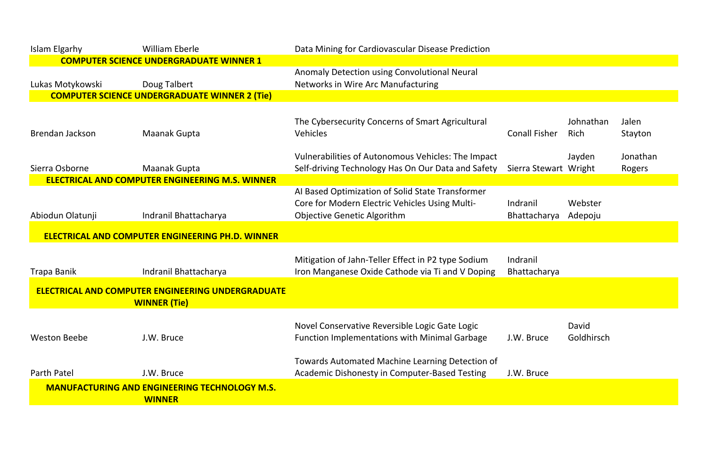| Islam Elgarhy       | <b>William Eberle</b>                                    | Data Mining for Cardiovascular Disease Prediction    |                       |                     |          |
|---------------------|----------------------------------------------------------|------------------------------------------------------|-----------------------|---------------------|----------|
|                     | <b>COMPUTER SCIENCE UNDERGRADUATE WINNER 1</b>           |                                                      |                       |                     |          |
|                     |                                                          | Anomaly Detection using Convolutional Neural         |                       |                     |          |
| Lukas Motykowski    | Doug Talbert                                             | Networks in Wire Arc Manufacturing                   |                       |                     |          |
|                     | <b>COMPUTER SCIENCE UNDERGRADUATE WINNER 2 (Tie)</b>     |                                                      |                       |                     |          |
|                     |                                                          |                                                      |                       |                     |          |
|                     |                                                          | The Cybersecurity Concerns of Smart Agricultural     |                       | Johnathan           | Jalen    |
| Brendan Jackson     | <b>Maanak Gupta</b>                                      | <b>Vehicles</b>                                      | <b>Conall Fisher</b>  | Rich                | Stayton  |
|                     |                                                          |                                                      |                       |                     |          |
|                     |                                                          | Vulnerabilities of Autonomous Vehicles: The Impact   |                       | Jayden              | Jonathan |
| Sierra Osborne      | <b>Maanak Gupta</b>                                      | Self-driving Technology Has On Our Data and Safety   | Sierra Stewart Wright |                     | Rogers   |
|                     | <b>ELECTRICAL AND COMPUTER ENGINEERING M.S. WINNER</b>   |                                                      |                       |                     |          |
|                     |                                                          | Al Based Optimization of Solid State Transformer     |                       |                     |          |
|                     |                                                          | Core for Modern Electric Vehicles Using Multi-       | Indranil              | Webster             |          |
| Abiodun Olatunji    | Indranil Bhattacharya                                    | <b>Objective Genetic Algorithm</b>                   | Bhattacharya          | Adepoju             |          |
|                     | <b>ELECTRICAL AND COMPUTER ENGINEERING PH.D. WINNER</b>  |                                                      |                       |                     |          |
|                     |                                                          |                                                      |                       |                     |          |
|                     |                                                          | Mitigation of Jahn-Teller Effect in P2 type Sodium   | Indranil              |                     |          |
| Trapa Banik         | Indranil Bhattacharya                                    | Iron Manganese Oxide Cathode via Ti and V Doping     | Bhattacharya          |                     |          |
|                     |                                                          |                                                      |                       |                     |          |
|                     | <b>ELECTRICAL AND COMPUTER ENGINEERING UNDERGRADUATE</b> |                                                      |                       |                     |          |
|                     | <b>WINNER (Tie)</b>                                      |                                                      |                       |                     |          |
|                     |                                                          |                                                      |                       |                     |          |
| <b>Weston Beebe</b> | J.W. Bruce                                               | Novel Conservative Reversible Logic Gate Logic       | J.W. Bruce            | David<br>Goldhirsch |          |
|                     |                                                          | <b>Function Implementations with Minimal Garbage</b> |                       |                     |          |
|                     |                                                          | Towards Automated Machine Learning Detection of      |                       |                     |          |
| Parth Patel         | J.W. Bruce                                               | <b>Academic Dishonesty in Computer-Based Testing</b> | J.W. Bruce            |                     |          |
|                     |                                                          |                                                      |                       |                     |          |
|                     | <b>MANUFACTURING AND ENGINEERING TECHNOLOGY M.S.</b>     |                                                      |                       |                     |          |
|                     | <b>WINNER</b>                                            |                                                      |                       |                     |          |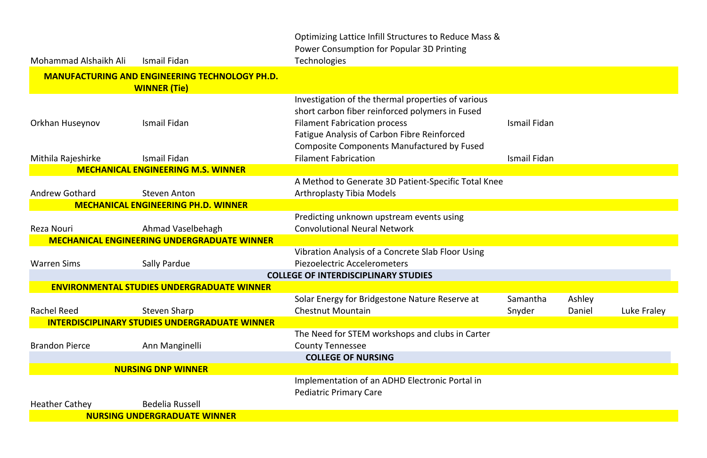|                       |                                                                              | Optimizing Lattice Infill Structures to Reduce Mass &<br>Power Consumption for Popular 3D Printing                                                                                                                                                      |                     |
|-----------------------|------------------------------------------------------------------------------|---------------------------------------------------------------------------------------------------------------------------------------------------------------------------------------------------------------------------------------------------------|---------------------|
| Mohammad Alshaikh Ali | Ismail Fidan                                                                 | <b>Technologies</b>                                                                                                                                                                                                                                     |                     |
|                       | <b>MANUFACTURING AND ENGINEERING TECHNOLOGY PH.D.</b><br><b>WINNER (Tie)</b> |                                                                                                                                                                                                                                                         |                     |
| Orkhan Huseynov       | Ismail Fidan                                                                 | Investigation of the thermal properties of various<br>short carbon fiber reinforced polymers in Fused<br><b>Filament Fabrication process</b><br><b>Fatigue Analysis of Carbon Fibre Reinforced</b><br><b>Composite Components Manufactured by Fused</b> | <b>Ismail Fidan</b> |
| Mithila Rajeshirke    | Ismail Fidan                                                                 | <b>Filament Fabrication</b>                                                                                                                                                                                                                             | <b>Ismail Fidan</b> |
|                       | <b>MECHANICAL ENGINEERING M.S. WINNER</b>                                    |                                                                                                                                                                                                                                                         |                     |
| <b>Andrew Gothard</b> | <b>Steven Anton</b>                                                          | A Method to Generate 3D Patient-Specific Total Knee<br><b>Arthroplasty Tibia Models</b>                                                                                                                                                                 |                     |
|                       | <b>MECHANICAL ENGINEERING PH.D. WINNER</b>                                   |                                                                                                                                                                                                                                                         |                     |
| Reza Nouri            | Ahmad Vaselbehagh                                                            | Predicting unknown upstream events using<br><b>Convolutional Neural Network</b>                                                                                                                                                                         |                     |
|                       | <b>MECHANICAL ENGINEERING UNDERGRADUATE WINNER</b>                           |                                                                                                                                                                                                                                                         |                     |
| <b>Warren Sims</b>    | <b>Sally Pardue</b>                                                          | Vibration Analysis of a Concrete Slab Floor Using<br><b>Piezoelectric Accelerometers</b>                                                                                                                                                                |                     |
|                       |                                                                              | <b>COLLEGE OF INTERDISCIPLINARY STUDIES</b>                                                                                                                                                                                                             |                     |
|                       | <b>ENVIRONMENTAL STUDIES UNDERGRADUATE WINNER</b>                            |                                                                                                                                                                                                                                                         |                     |
| <b>Rachel Reed</b>    | <b>Steven Sharp</b>                                                          | Solar Energy for Bridgestone Nature Reserve at<br><b>Chestnut Mountain</b>                                                                                                                                                                              | Samantha<br>Snyder  |
|                       | <b>INTERDISCIPLINARY STUDIES UNDERGRADUATE WINNER</b>                        |                                                                                                                                                                                                                                                         |                     |
| <b>Brandon Pierce</b> | Ann Manginelli                                                               | The Need for STEM workshops and clubs in Carter<br><b>County Tennessee</b>                                                                                                                                                                              |                     |
|                       |                                                                              | <b>COLLEGE OF NURSING</b>                                                                                                                                                                                                                               |                     |
|                       | <b>NURSING DNP WINNER</b>                                                    |                                                                                                                                                                                                                                                         |                     |
|                       |                                                                              | Implementation of an ADHD Electronic Portal in<br><b>Pediatric Primary Care</b>                                                                                                                                                                         |                     |
| <b>Heather Cathey</b> | <b>Bedelia Russell</b>                                                       |                                                                                                                                                                                                                                                         |                     |
|                       | <b>NURSING UNDERGRADUATE WINNER</b>                                          |                                                                                                                                                                                                                                                         |                     |

| Ashley<br>Daniel<br>Luke Fraley |                     |  |
|---------------------------------|---------------------|--|
|                                 | <b>Ismail Fidan</b> |  |
|                                 | Ismail Fidan        |  |
|                                 |                     |  |
|                                 |                     |  |
|                                 |                     |  |
|                                 |                     |  |
|                                 |                     |  |
|                                 |                     |  |
|                                 | Samantha<br>Snyder  |  |
|                                 |                     |  |
|                                 |                     |  |
|                                 |                     |  |
|                                 |                     |  |
|                                 |                     |  |